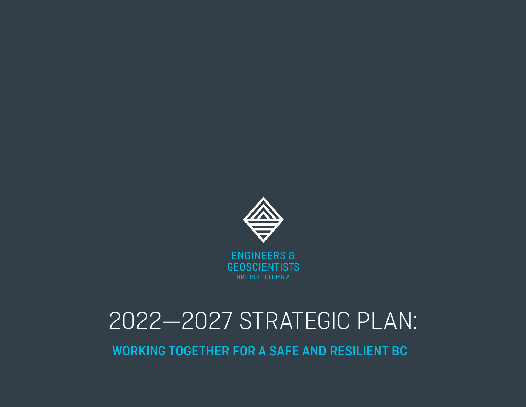

## 2022—2027 STRATEGIC PLAN:

WORKING TOGETHER FOR A SAFE AND RESILIENT BC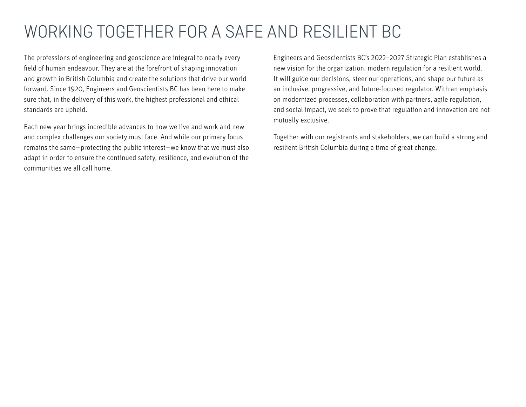### WORKING TOGETHER FOR A SAFE AND RESILIENT BC

The professions of engineering and geoscience are integral to nearly every field of human endeavour. They are at the forefront of shaping innovation and growth in British Columbia and create the solutions that drive our world forward. Since 1920, Engineers and Geoscientists BC has been here to make sure that, in the delivery of this work, the highest professional and ethical standards are upheld.

Each new year brings incredible advances to how we live and work and new and complex challenges our society must face. And while our primary focus remains the same—protecting the public interest—we know that we must also adapt in order to ensure the continued safety, resilience, and evolution of the communities we all call home.

Engineers and Geoscientists BC's 2022–2027 Strategic Plan establishes a new vision for the organization: modern regulation for a resilient world. It will guide our decisions, steer our operations, and shape our future as an inclusive, progressive, and future-focused regulator. With an emphasis on modernized processes, collaboration with partners, agile regulation, and social impact, we seek to prove that regulation and innovation are not mutually exclusive.

Together with our registrants and stakeholders, we can build a strong and resilient British Columbia during a time of great change.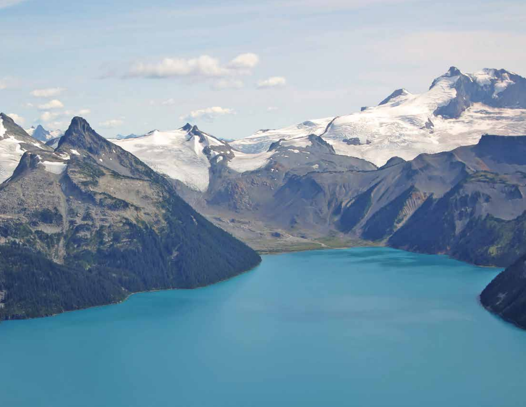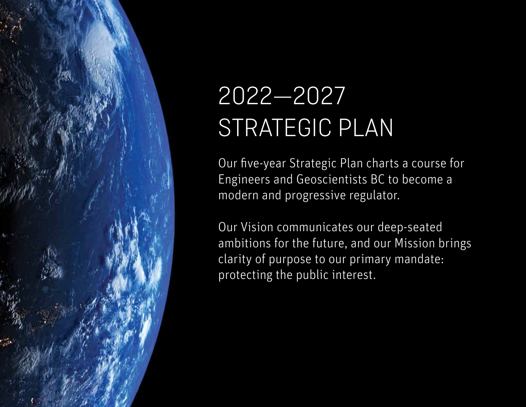

# 2022—2027 STRATEGIC PLAN

Our five-year Strategic Plan charts a course for Engineers and Geoscientists BC to become a modern and progressive regulator.

Our Vision communicates our deep-seated ambitions for the future, and our Mission brings clarity of purpose to our primary mandate: protecting the public interest.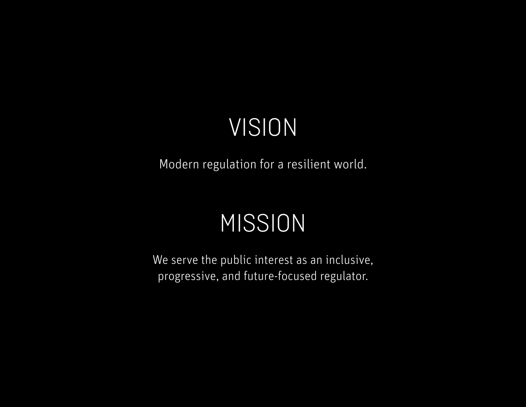## VISION

Modern regulation for a resilient world.

## MISSION

We serve the public interest as an inclusive, progressive, and future-focused regulator.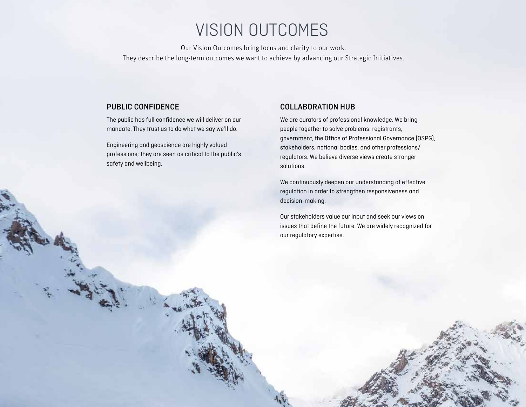### VISION OUTCOMES

Our Vision Outcomes bring focus and clarity to our work. They describe the long-term outcomes we want to achieve by advancing our Strategic Initiatives.

#### PUBLIC CONFIDENCE

The public has full confidence we will deliver on our mandate. They trust us to do what we say we'll do.

Engineering and geoscience are highly valued professions; they are seen as critical to the public's safety and wellbeing.

#### COLLABORATION HUB

We are curators of professional knowledge. We bring people together to solve problems: registrants, government, the Office of Professional Governance (OSPG), stakeholders, national bodies, and other professions/ regulators. We believe diverse views create stronger solutions.

We continuously deepen our understanding of effective regulation in order to strengthen responsiveness and decision-making.

Our stakeholders value our input and seek our views on issues that define the future. We are widely recognized for our regulatory expertise.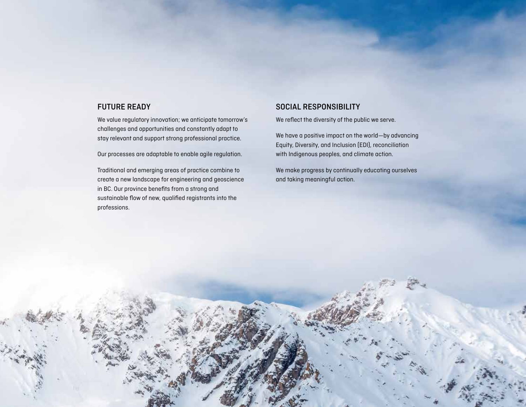### FUTURE READY

We value regulatory innovation; we anticipate tomorrow's challenges and opportunities and constantly adapt to stay relevant and support strong professional practice.

Our processes are adaptable to enable agile regulation.

Traditional and emerging areas of practice combine to create a new landscape for engineering and geoscience in BC. Our province benefits from a strong and sustainable flow of new, qualified registrants into the professions.

### SOCIAL RESPONSIBILITY

We reflect the diversity of the public we serve.

We have a positive impact on the world—by advancing Equity, Diversity, and Inclusion (EDI), reconciliation with Indigenous peoples, and climate action.

We make progress by continually educating ourselves and taking meaningful action.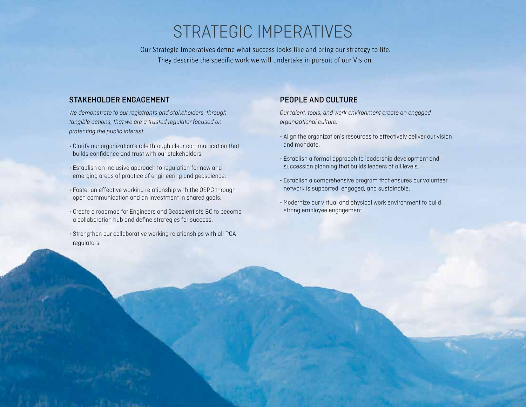### STRATEGIC IMPERATIVES

Our Strategic Imperatives define what success looks like and bring our strategy to life. They describe the specific work we will undertake in pursuit of our Vision.

### STAKEHOLDER ENGAGEMENT

*We demonstrate to our registrants and stakeholders, through tangible actions, that we are a trusted regulator focused on protecting the public interest.* 

- Clarify our organization's role through clear communication that builds confidence and trust with our stakeholders.
- Establish an inclusive approach to regulation for new and emerging areas of practice of engineering and geoscience.
- Foster an effective working relationship with the OSPG through open communication and an investment in shared goals.
- Create a roadmap for Engineers and Geoscientists BC to become a collaboration hub and define strategies for success.
- Strengthen our collaborative working relationships with all PGA regulators.

### PEOPLE AND CULTURE

*Our talent, tools, and work environment create an engaged organizational culture.* 

- Align the organization's resources to effectively deliver our vision and mandate.
- Establish a formal approach to leadership development and succession planning that builds leaders at all levels.
- Establish a comprehensive program that ensures our volunteer network is supported, engaged, and sustainable.
- Modernize our virtual and physical work environment to build strong employee engagement.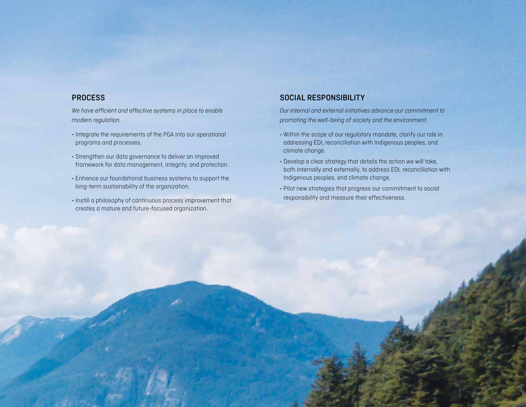### PROCESS

*We have efficient and effective systems in place to enable modern regulation.*

- Integrate the requirements of the PGA into our operational programs and processes.
- Strengthen our data governance to deliver an improved framework for data management, integrity, and protection.
- Enhance our foundational business systems to support the long-term sustainability of the organization.
- Instill a philosophy of continuous process improvement that creates a mature and future-focused organization.

#### SOCIAL RESPONSIBILITY

*Our internal and external initiatives advance our commitment to promoting the well-being of society and the environment.* 

- Within the scope of our regulatory mandate, clarify our role in addressing EDI, reconciliation with Indigenous peoples, and climate change.
- Develop a clear strategy that details the action we will take, both internally and externally, to address EDI, reconciliation with Indigenous peoples, and climate change.
- Pilot new strategies that progress our commitment to social responsibility and measure their effectiveness.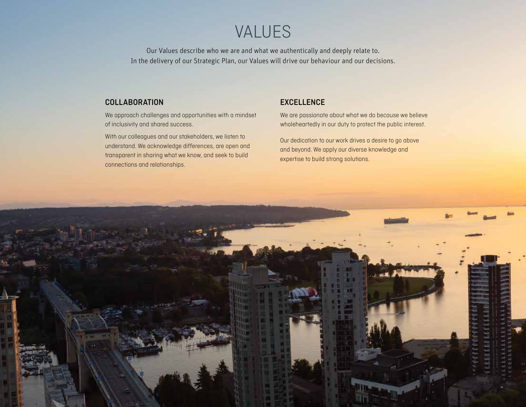### VALUES

Our Values describe who we are and what we authentically and deeply relate to. In the delivery of our Strategic Plan, our Values will drive our behaviour and our decisions.

### COLLABORATION

We approach challenges and opportunities with a mindset of inclusivity and shared success.

With our colleagues and our stakeholders, we listen to understand. We acknowledge differences, are open and transparent in sharing what we know, and seek to build connections and relationships.

### **EXCELLENCE**

We are passionate about what we do because we believe wholeheartedly in our duty to protect the public interest.

Our dedication to our work drives a desire to go above and beyond. We apply our diverse knowledge and expertise to build strong solutions.

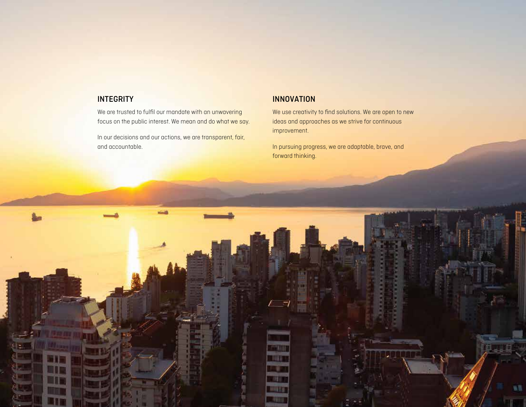### **INTEGRITY**

We are trusted to fulfil our mandate with an unwavering focus on the public interest. We mean and do what we say.

In our decisions and our actions, we are transparent, fair, and accountable.

#### INNOVATION

化油油 **TILLER TERRIT REAL PR LETTE PAINT** 

We use creativity to find solutions. We are open to new ideas and approaches as we strive for continuous improvement.

In pursuing progress, we are adaptable, brave, and forward thinking.